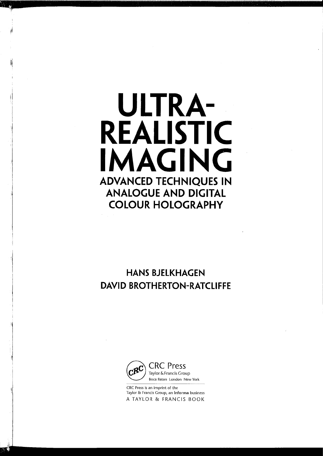## **ULTRA-REALISTIC IMAGING ADVANCED TECHNIQUES IN ANALOGUE AND DIGITAL COLOUR HOLOGRAPHY**

## **HANS BJELKHAGEN DAVID BROTHERTON-RATCLIFFE**



CRC Press is an imprint of the Taylor & Francis Group, an Informa business A TAYLOR & FRANCIS BOOK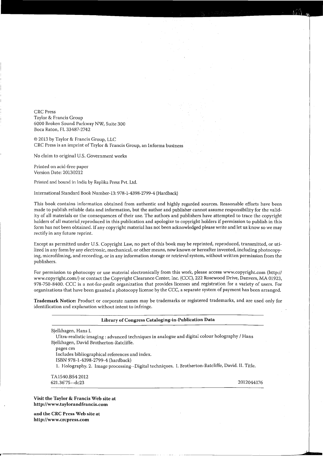CRC Press Taylor & Francis Group 6000 Broken Sound Parkway NW, Suite 300 Boca Ratan, FL 33487-2742

© 2013 by Taylor & Francis Group, LLC CRC Press is an imprint of Taylor & Francis Group, an Inforrna business

No claim to original U.S. Government works

Printed on acid-free paper Version Date: 20130212

Printed and bound in India by Replika Press Pvt. Ltd.

International Standard Book Number-13: 978-1-4398-2799-4 (Hardback)

This book contains information obtained from authentic and highly regarded sources. Reasonable efforts have been made to publish reliable data and information, but the author and publisher cannot assume responsibility for the validity of all materials or the consequences of their use. The authors and publishers have attempted to trace the copyright holders of all material reproduced in this publication and apologize to copyright holders if permission to publish in this form has not been obtained. If any copyright material has not been acknowledged please write and let us know so we may rectify in any future reprint.

Except as permitted under U.S. Copyright Law, no part of this book may be reprinted, reproduced, transmitted, or utilized in any form by any electronic, mechanical, or other means, now known or hereafter invented, including photocopying, microfilming, and recording, or in any information storage or retrieval system, without written permission from the publishers.

For permission to photocopy or use material electronically from this work, please access www.copyright.com (http:// www.copyright.corn/) or contact the Copyright Clearance Center, Inc. (CCC), 222 Rosewood Drive, Danvers, MA 01923, 978-750-8400. CCC is a not-far-profit organization that provides licenses and registration for a variety of users. For organizations that have been granted a photocopy license by the CCC, a separate system of payment has been arranged.

Trademark Notice: Product or corporate names may be trademarks or registered trademarks, and are used only for identification and explanation without intent to infringe.

## Library of Congress Cataloging-in-Publication Data

Bjelkhagen, Hans I.

Ultra-realistic imaging : advanced techniques in analogue and digital colour holography / Hans Bjelkhagen, David Brotherton-Ratcliffe.

pages cm

Includes bibliographical references and index.

ISBN 978-1-4398-2799-4 (hardback)

1. Holography. 2. Image processing--Digital techniques. I. Brotherton-Ratcliffe, David. II. Title.

TA1540.B542012 621.36'75--dc23

2012044176

 $\frac{1+i\ell}{2}$  . QA

Visit the Taylor & Francis Web site at http://www.taylorandfrancis.com

and the CRC Press Web site at http://www.crcpress.com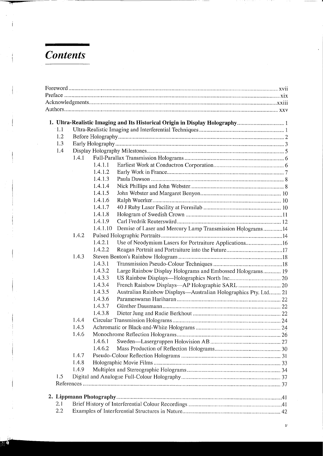## *Contents*

| 1.1 |       |                                                                            |  |
|-----|-------|----------------------------------------------------------------------------|--|
| 1.2 |       |                                                                            |  |
| 1.3 |       |                                                                            |  |
| 1.4 |       |                                                                            |  |
|     | 1.4.1 |                                                                            |  |
|     |       | 1.4.1.1                                                                    |  |
|     |       | 1.4.1.2                                                                    |  |
|     |       | 1.4.1.3                                                                    |  |
|     |       | 1.4.1.4                                                                    |  |
|     |       | 1.4.1.5                                                                    |  |
|     |       | 1.4.1.6                                                                    |  |
|     |       | 1.4.1.7                                                                    |  |
|     |       | 1.4.1.8                                                                    |  |
|     |       | 1.4.1.9                                                                    |  |
|     |       | 1.4.1.10<br>Demise of Laser and Mercury Lamp Transmission Holograms14      |  |
|     | 1.4.2 |                                                                            |  |
|     |       | 1.4.2.1<br>Use of Neodymium Lasers for Portraiture Applications16          |  |
|     |       | 1.4.2.2                                                                    |  |
|     | 1.4.3 |                                                                            |  |
|     |       | 1.4.3.1                                                                    |  |
|     |       | 1.4.3.2<br>Large Rainbow Display Holograms and Embossed Holograms 19       |  |
|     |       | 1.4.3.3                                                                    |  |
|     |       | 1.4.3.4                                                                    |  |
|     |       | 1.4.3.5<br>Australian Rainbow Displays—Australian Holographics Pty. Ltd 21 |  |
|     |       | 1.4.3.6                                                                    |  |
|     |       | 1.4.3.7                                                                    |  |
|     |       | 1.4.3.8                                                                    |  |
|     | 1.4.4 |                                                                            |  |
|     | 1.4.5 |                                                                            |  |
|     | 1.4.6 |                                                                            |  |
|     |       | 1.4.6.1                                                                    |  |
|     |       | 1.4.6.2                                                                    |  |
|     | 1.4.7 |                                                                            |  |
|     | 1.4.8 |                                                                            |  |
|     | 1.4.9 |                                                                            |  |
| 1.5 |       |                                                                            |  |
|     |       |                                                                            |  |
|     |       |                                                                            |  |
|     |       |                                                                            |  |
| 2.1 |       |                                                                            |  |
| 2.2 |       |                                                                            |  |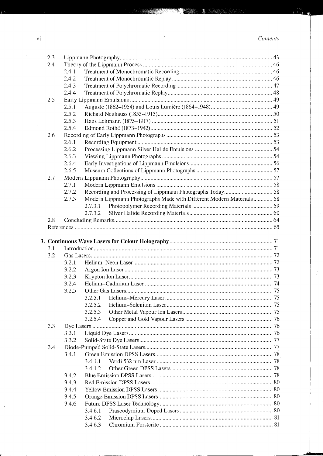vi *Contents*

Ř

្សិ Ăí

Ń

| 2.3 |       |                    |                                                                     |    |
|-----|-------|--------------------|---------------------------------------------------------------------|----|
| 2.4 | 2.4.1 |                    |                                                                     |    |
|     |       |                    |                                                                     |    |
|     | 2.4.2 |                    |                                                                     |    |
|     | 2.4.3 |                    |                                                                     |    |
|     | 2.4.4 |                    |                                                                     |    |
| 2.5 |       |                    |                                                                     |    |
|     | 2.5.1 |                    |                                                                     |    |
|     | 2.5.2 |                    |                                                                     |    |
|     | 2.5.3 |                    |                                                                     |    |
|     | 2.5.4 |                    |                                                                     |    |
| 2.6 |       |                    |                                                                     |    |
|     | 2.6.1 |                    |                                                                     |    |
|     | 2.6.2 |                    |                                                                     |    |
|     | 2.6.3 |                    |                                                                     |    |
|     | 2.6.4 |                    |                                                                     |    |
|     | 2.6.5 |                    |                                                                     |    |
| 2.7 |       |                    |                                                                     |    |
|     | 2.7.1 |                    |                                                                     |    |
|     | 2.7.2 |                    |                                                                     |    |
|     | 2.7.3 |                    | Modern Lippmann Photographs Made with Different Modern Materials 58 |    |
|     |       | 2.7.3.1            |                                                                     |    |
|     |       | 2.7.3.2            |                                                                     |    |
| 2.8 |       |                    |                                                                     |    |
|     |       |                    |                                                                     |    |
|     |       |                    |                                                                     |    |
|     |       |                    |                                                                     |    |
|     |       |                    |                                                                     |    |
| 3.1 |       |                    |                                                                     |    |
| 3.2 |       |                    |                                                                     |    |
|     | 3.2.1 |                    |                                                                     |    |
|     | 3.2.2 |                    |                                                                     |    |
|     | 3.2.3 |                    |                                                                     |    |
|     | 3.2.4 |                    |                                                                     |    |
|     | 3.2.5 |                    |                                                                     |    |
|     |       |                    |                                                                     |    |
|     |       | 3.2.5.1            |                                                                     |    |
|     |       | 3.2.5.2            |                                                                     |    |
|     |       | 3.2.5.3            |                                                                     |    |
|     |       | 3.2.5.4            |                                                                     |    |
| 3.3 |       |                    |                                                                     | 76 |
|     | 3.3.1 |                    |                                                                     |    |
|     | 3.3.2 |                    |                                                                     |    |
| 3.4 |       |                    |                                                                     |    |
|     | 3.4.1 |                    |                                                                     |    |
|     |       | 3.4.1.1            |                                                                     |    |
|     |       | 3.4.1.2            |                                                                     |    |
|     | 3.4.2 |                    |                                                                     |    |
|     | 3.4.3 |                    |                                                                     |    |
|     | 3.4.4 |                    |                                                                     |    |
|     | 3.4.5 |                    |                                                                     |    |
|     | 3.4.6 |                    |                                                                     |    |
|     |       | 3.4.6.1            |                                                                     |    |
|     |       | 3.4.6.2<br>3.4.6.3 |                                                                     |    |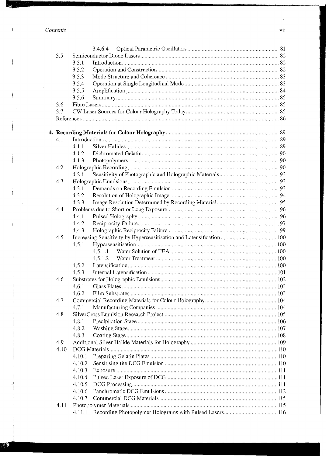j

|      |        | 3.4.6.4    |  |
|------|--------|------------|--|
| 3.5  |        |            |  |
|      | 3.5.1  |            |  |
|      | 3.5.2  |            |  |
|      | 3.5.3  |            |  |
|      | 3.5.4  |            |  |
|      | 3.5.5  |            |  |
|      | 3.5.6  |            |  |
| 3.6  |        |            |  |
| 3.7  |        |            |  |
|      |        |            |  |
|      |        |            |  |
|      |        |            |  |
| 4.1  |        |            |  |
|      | 4.1.1  |            |  |
|      | 4.1.2  |            |  |
|      | 4.1.3  |            |  |
| 4.2  |        |            |  |
|      | 4.2.1  |            |  |
| 4.3  |        |            |  |
|      | 4.3.1  |            |  |
|      | 4.3.2  |            |  |
|      | 4.3.3  |            |  |
| 4.4  |        |            |  |
|      | 4.4.1  |            |  |
|      | 4.4.2  |            |  |
|      | 4.4.3  |            |  |
| 4.5  |        |            |  |
|      | 4.5.1  |            |  |
|      |        | 4, 5, 1, 1 |  |
|      |        | 4.5.1.2    |  |
|      | 4.5.2  |            |  |
|      | 4.5.3  |            |  |
| 4.6  |        |            |  |
|      | 4.6.1  |            |  |
|      | 4.6.2  |            |  |
| 4.7  |        |            |  |
|      | 4.7.1  |            |  |
| 4.8  |        |            |  |
|      | 4.8.1  |            |  |
|      | 4.8.2  |            |  |
|      | 4.8.3  |            |  |
| 4.9  |        |            |  |
| 4.10 |        |            |  |
|      | 4.10.1 |            |  |
|      | 4.10.2 |            |  |
|      | 4.10.3 |            |  |
|      | 4.10.4 |            |  |
|      | 4.10.5 |            |  |
|      | 4.10.6 |            |  |
|      | 4.10.7 |            |  |
| 4.11 |        |            |  |
|      | 4.11.1 |            |  |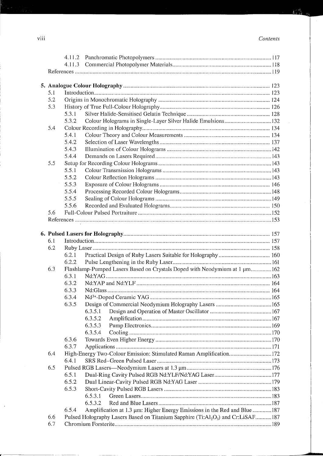经客

|     | 4.11.2         |                                                                                                          |  |
|-----|----------------|----------------------------------------------------------------------------------------------------------|--|
|     |                |                                                                                                          |  |
|     |                |                                                                                                          |  |
|     |                |                                                                                                          |  |
|     |                |                                                                                                          |  |
| 5.1 |                |                                                                                                          |  |
| 5.2 |                |                                                                                                          |  |
| 5.3 |                |                                                                                                          |  |
|     | 5.3.1          |                                                                                                          |  |
|     | 5.3.2          | Colour Holograms in Single-Layer Silver Halide Emulsions132                                              |  |
| 5.4 |                |                                                                                                          |  |
|     | 5.4.1          |                                                                                                          |  |
|     | 5.4.2          |                                                                                                          |  |
|     | 5.4.3          |                                                                                                          |  |
|     | 5.4.4          |                                                                                                          |  |
| 5.5 |                |                                                                                                          |  |
|     | 5.5.1          |                                                                                                          |  |
|     | 5.5.2          |                                                                                                          |  |
|     | 5.5.3          |                                                                                                          |  |
|     | 5.5.4          |                                                                                                          |  |
|     | 5.5.5          |                                                                                                          |  |
|     | 5.5.6          |                                                                                                          |  |
| 5.6 |                |                                                                                                          |  |
|     |                |                                                                                                          |  |
|     |                |                                                                                                          |  |
|     |                |                                                                                                          |  |
| 6.1 |                |                                                                                                          |  |
| 6.2 |                |                                                                                                          |  |
|     | 6.2.1          |                                                                                                          |  |
|     | 6.2.2          |                                                                                                          |  |
| 6.3 |                | Flashlamp-Pumped Lasers Based on Crystals Doped with Neodymium at 1 µm162                                |  |
|     | 6.3.1          |                                                                                                          |  |
|     | 6.3.2          |                                                                                                          |  |
|     | 6.3.3          |                                                                                                          |  |
|     | 6.3.4<br>6.3.5 |                                                                                                          |  |
|     |                | 6.3.5.1                                                                                                  |  |
|     |                | 6.3.5.2                                                                                                  |  |
|     |                | 6.3.5.3                                                                                                  |  |
|     |                | 6.3.5.4                                                                                                  |  |
|     | 6.3.6          |                                                                                                          |  |
|     | 6.3.7          |                                                                                                          |  |
| 6.4 |                | High-Energy Two-Colour Emission: Stimulated Raman Amplification172                                       |  |
|     | 6.4.1          |                                                                                                          |  |
| 6.5 |                |                                                                                                          |  |
|     | 6.5.1          |                                                                                                          |  |
|     | 6.5.2          |                                                                                                          |  |
|     | 6.5.3          |                                                                                                          |  |
|     |                | 6.5.3.1                                                                                                  |  |
|     |                | 6.5.3.2                                                                                                  |  |
|     | 6.5.4          | Amplification at 1.3 µm: Higher Energy Emissions in the Red and Blue 187                                 |  |
| 6.6 |                | Pulsed Holography Lasers Based on Titanium Sapphire (Ti:Al <sub>2</sub> O <sub>3</sub> ) and Cr:LiSAF187 |  |
| 6.7 |                |                                                                                                          |  |
|     |                |                                                                                                          |  |

r·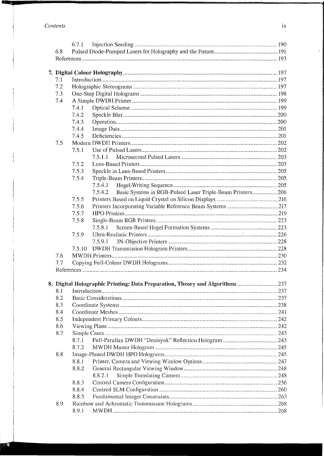$\mathcal{M}=\mathcal{M}$ 

|     | 6.7.1  |                                                                               |  |
|-----|--------|-------------------------------------------------------------------------------|--|
| 6.8 |        |                                                                               |  |
|     |        |                                                                               |  |
|     |        |                                                                               |  |
|     |        |                                                                               |  |
| 7.1 |        |                                                                               |  |
| 7.2 |        |                                                                               |  |
| 7.3 |        |                                                                               |  |
| 7.4 |        |                                                                               |  |
|     | 7.4.1  |                                                                               |  |
|     | 7.4.2  |                                                                               |  |
|     | 7.4.3  |                                                                               |  |
|     | 7.4.4  |                                                                               |  |
|     | 7.4.5  |                                                                               |  |
| 7.5 |        |                                                                               |  |
|     | 7.5.1  |                                                                               |  |
|     |        | 7.5.1.1                                                                       |  |
|     |        |                                                                               |  |
|     | 7.5.2  |                                                                               |  |
|     | 7.5.3  |                                                                               |  |
|     | 7.5.4  |                                                                               |  |
|     |        | 7.5.4.1                                                                       |  |
|     |        | Basic Systems in RGB-Pulsed Laser Triple-Beam Printers 206<br>7.5.4.2         |  |
|     | 7.5.5  |                                                                               |  |
|     | 7.5.6  |                                                                               |  |
|     | 7.5.7  |                                                                               |  |
|     | 7.5.8  |                                                                               |  |
|     |        | 7.5.8.1                                                                       |  |
|     | 7.5.9  |                                                                               |  |
|     |        | 7.5.9.1                                                                       |  |
|     | 7.5.10 |                                                                               |  |
| 7.6 |        |                                                                               |  |
| 7.7 |        |                                                                               |  |
|     |        |                                                                               |  |
|     |        |                                                                               |  |
|     |        | 8. Digital Holographic Printing: Data Preparation, Theory and Algorithms  237 |  |
| 8.1 |        |                                                                               |  |
| 8.2 |        |                                                                               |  |
| 8.3 |        |                                                                               |  |
| 8.4 |        |                                                                               |  |
| 8.5 |        |                                                                               |  |
| 8.6 |        |                                                                               |  |
|     |        |                                                                               |  |
| 8.7 | 8.7.1  |                                                                               |  |
|     |        |                                                                               |  |
|     | 8.7.2  |                                                                               |  |
| 8.8 |        |                                                                               |  |
|     | 8.8.1  |                                                                               |  |
|     | 8.8.2  |                                                                               |  |
|     |        | 8.8.2.1                                                                       |  |
|     | 8.8.3  |                                                                               |  |
|     | 8.8.4  |                                                                               |  |
|     | 8.8.5  |                                                                               |  |
| 8.9 |        |                                                                               |  |
|     | 8.9.1  |                                                                               |  |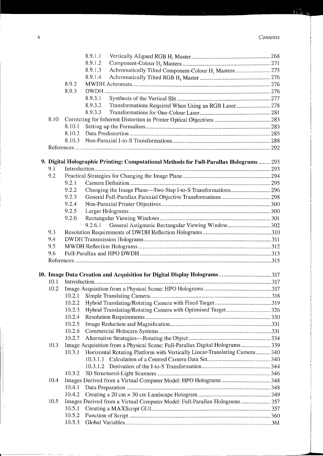|      |        | 8.9.1.1                                                                                |  |
|------|--------|----------------------------------------------------------------------------------------|--|
|      |        | 8.9.1.2                                                                                |  |
|      |        | 8.9.1.3<br>Achromatically Tilted Component-Colour H <sub>1</sub> Masters 275           |  |
|      |        | 8.9.1.4                                                                                |  |
|      | 8.9.2  |                                                                                        |  |
|      | 8.9.3  |                                                                                        |  |
|      |        | 8.9.3.1                                                                                |  |
|      |        | 8.9.3.2<br>Transformations Required When Using an RGB Laser 278                        |  |
|      |        | 8.9.3.3                                                                                |  |
| 8.10 |        |                                                                                        |  |
|      |        |                                                                                        |  |
|      | 8.10.1 |                                                                                        |  |
|      | 8.10.2 |                                                                                        |  |
|      | 8.10.3 |                                                                                        |  |
|      |        |                                                                                        |  |
|      |        |                                                                                        |  |
|      |        | 9. Digital Holographic Printing: Computational Methods for Full-Parallax Holograms 293 |  |
| 9.1  |        |                                                                                        |  |
| 9.2  |        |                                                                                        |  |
|      | 9.2.1  |                                                                                        |  |
|      | 9.2.2  |                                                                                        |  |
|      | 9.2.3  |                                                                                        |  |
|      | 9.2.4  |                                                                                        |  |
|      | 9.2.5  |                                                                                        |  |
|      | 9.2.6  |                                                                                        |  |
|      |        | General Astigmatic Rectangular Viewing Window 302<br>9.2.6.1                           |  |
| 9.3  |        |                                                                                        |  |
| 9.4  |        |                                                                                        |  |
| 9.5  |        |                                                                                        |  |
| 9.6  |        |                                                                                        |  |
|      |        |                                                                                        |  |
|      |        |                                                                                        |  |
|      |        |                                                                                        |  |
| 10.1 |        |                                                                                        |  |
| 10.2 |        |                                                                                        |  |
|      |        |                                                                                        |  |
|      | 10.2.1 |                                                                                        |  |
|      | 10.2.2 |                                                                                        |  |
|      | 10.2.3 | Hybrid Translating/Rotating Camera with Optimised Target 326                           |  |
|      | 10.2.4 |                                                                                        |  |
|      | 10.2.5 |                                                                                        |  |
|      | 10.2.6 |                                                                                        |  |
|      | 10.2.7 |                                                                                        |  |
| 10.3 |        | Image Acquisition from a Physical Scene: Full-Parallax Digital Holograms 339           |  |
|      | 10.3.1 | Horizontal Rotating Platform with Vertically Linear-Translating Camera 340             |  |
|      |        | 10.3.1.1                                                                               |  |
|      |        |                                                                                        |  |
|      | 10.3.2 |                                                                                        |  |
| 10.4 |        |                                                                                        |  |
|      | 10.4.1 |                                                                                        |  |
|      | 10.4.2 |                                                                                        |  |
| 10.5 |        | Images Derived from a Virtual Computer Model: Full-Parallax Holograms 357              |  |
|      | 10.5.1 |                                                                                        |  |
|      | 10.5.2 |                                                                                        |  |
|      | 10.5.3 |                                                                                        |  |
|      |        |                                                                                        |  |

~----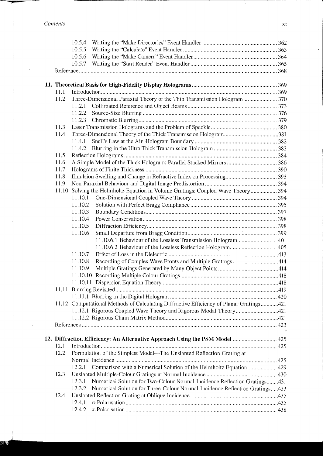**+**

 $\mathbf i$ 

 $\overline{1}$ 

|      | 10.5.4                                                                                  |  |
|------|-----------------------------------------------------------------------------------------|--|
|      | 10.5.5                                                                                  |  |
|      | 10.5.6                                                                                  |  |
|      | 10.5.7                                                                                  |  |
|      |                                                                                         |  |
|      |                                                                                         |  |
|      |                                                                                         |  |
| 11.1 |                                                                                         |  |
| 11.2 | Three-Dimensional Paraxial Theory of the Thin Transmission Hologram 370                 |  |
|      | 11.2.1                                                                                  |  |
|      | 11.2.2                                                                                  |  |
|      |                                                                                         |  |
|      | 11.2.3                                                                                  |  |
| 11.3 |                                                                                         |  |
| 11.4 | Three-Dimensional Theory of the Thick Transmission Hologram381                          |  |
|      | 11.4.1                                                                                  |  |
|      | 11.4.2                                                                                  |  |
| 11.5 |                                                                                         |  |
| 11.6 |                                                                                         |  |
| 11.7 |                                                                                         |  |
| 11.8 |                                                                                         |  |
| 11.9 |                                                                                         |  |
|      | 11.10 Solving the Helmholtz Equation in Volume Gratings: Coupled Wave Theory 394        |  |
|      | 11.10.1                                                                                 |  |
|      | 11.10.2                                                                                 |  |
|      | 11.10.3                                                                                 |  |
|      | 11.10.4                                                                                 |  |
|      | 11.10.5                                                                                 |  |
|      | 11.10.6                                                                                 |  |
|      | 11.10.6.1 Behaviour of the Lossless Transmission Hologram 401                           |  |
|      |                                                                                         |  |
|      | 11.10.7                                                                                 |  |
|      | 11.10.8                                                                                 |  |
|      | Recording of Complex Wave Fronts and Multiple Gratings414                               |  |
|      | 11.10.9                                                                                 |  |
|      |                                                                                         |  |
|      |                                                                                         |  |
|      |                                                                                         |  |
|      |                                                                                         |  |
|      | 11.12 Computational Methods of Calculating Diffractive Efficiency of Planar Gratings421 |  |
|      | 11.12.1 Rigorous Coupled Wave Theory and Rigorous Modal Theory421                       |  |
|      |                                                                                         |  |
|      |                                                                                         |  |
|      |                                                                                         |  |
|      | 12. Diffraction Efficiency: An Alternative Approach Using the PSM Model  425            |  |
| 12.1 |                                                                                         |  |
| 12.2 | Formulation of the Simplest Model—The Unslanted Reflection Grating at                   |  |
|      |                                                                                         |  |
|      | Comparison with a Numerical Solution of the Helmholtz Equation 429<br>12.2.1            |  |
| 12.3 |                                                                                         |  |
|      | 12.3.1<br>Numerical Solution for Two-Colour Normal-Incidence Reflection Gratings431     |  |
|      | Numerical Solution for Three-Colour Normal-Incidence Reflection Gratings433<br>12.3.2   |  |
| 12.4 |                                                                                         |  |
|      | 12.4.1                                                                                  |  |
|      | 12.4.2                                                                                  |  |
|      |                                                                                         |  |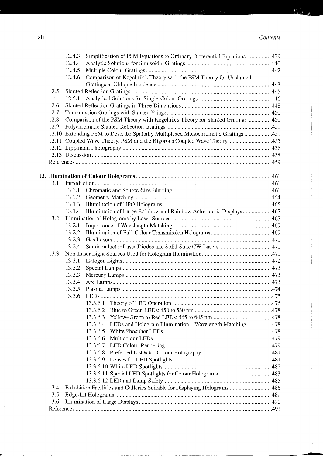$\int_{HS}^{2\pi}$ ليو

|              | 12.4.3 | Simplification of PSM Equations to Ordinary Differential Equations 439           |  |
|--------------|--------|----------------------------------------------------------------------------------|--|
|              | 12.4.4 |                                                                                  |  |
|              | 12.4.5 |                                                                                  |  |
|              | 12.4.6 | Comparison of Kogelnik's Theory with the PSM Theory for Unslanted                |  |
|              |        |                                                                                  |  |
| 12.5         |        |                                                                                  |  |
|              | 12.5.1 |                                                                                  |  |
| 12.6         |        |                                                                                  |  |
| 12.7         |        |                                                                                  |  |
| 12.8         |        | Comparison of the PSM Theory with Kogelnik's Theory for Slanted Gratings 450     |  |
| 12.9         |        |                                                                                  |  |
|              |        | 12.10 Extending PSM to Describe Spatially Multiplexed Monochromatic Gratings 451 |  |
|              |        | 12.11 Coupled Wave Theory, PSM and the Rigorous Coupled Wave Theory 455          |  |
|              |        |                                                                                  |  |
|              |        |                                                                                  |  |
|              |        |                                                                                  |  |
|              |        |                                                                                  |  |
|              |        |                                                                                  |  |
| 13.1         |        |                                                                                  |  |
|              | 13.1.1 |                                                                                  |  |
|              | 13.1.2 |                                                                                  |  |
|              | 13.1.3 |                                                                                  |  |
|              | 13.1.4 | Illumination of Large Rainbow and Rainbow-Achromatic Displays 467                |  |
| 13.2         |        |                                                                                  |  |
|              | 13.2.1 |                                                                                  |  |
|              | 13.2.2 |                                                                                  |  |
|              | 13.2.3 |                                                                                  |  |
|              | 13.2.4 |                                                                                  |  |
| 13.3         |        |                                                                                  |  |
|              | 13.3.1 |                                                                                  |  |
|              | 13.3.2 |                                                                                  |  |
|              | 13.3.3 |                                                                                  |  |
|              | 13.3.4 |                                                                                  |  |
|              | 13.3.5 |                                                                                  |  |
|              | 13.3.6 |                                                                                  |  |
|              |        |                                                                                  |  |
|              |        |                                                                                  |  |
|              |        | 13.3.6.3                                                                         |  |
|              |        | 13.3.6.4 LEDs and Hologram Illumination—Wavelength Matching 478                  |  |
|              |        | 13.3.6.5                                                                         |  |
|              |        | 13.3.6.6                                                                         |  |
|              |        | 13.3.6.7                                                                         |  |
|              |        | 13.3.6.8                                                                         |  |
|              |        |                                                                                  |  |
|              |        |                                                                                  |  |
|              |        |                                                                                  |  |
|              |        |                                                                                  |  |
| 13.4         |        |                                                                                  |  |
|              |        |                                                                                  |  |
|              |        | Exhibition Facilities and Galleries Suitable for Displaying Holograms  486       |  |
| 13.5<br>13.6 |        |                                                                                  |  |

 $\ddot{\phantom{0}}$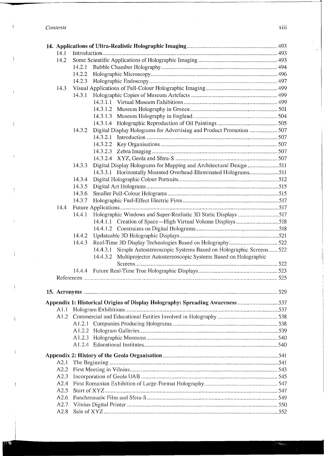ï

í

j.

Í

ì

Ť

Í

| 14.1             |                                                                                |     |
|------------------|--------------------------------------------------------------------------------|-----|
| 14.2             |                                                                                |     |
|                  | 14.2.1                                                                         |     |
|                  | 14.2.2                                                                         |     |
|                  | 14.2.3                                                                         |     |
| 14.3             |                                                                                |     |
|                  | 14.3.1                                                                         |     |
|                  | 14.3.1.1                                                                       |     |
|                  | 14.3.1.2                                                                       |     |
|                  | 14.3.1.3                                                                       |     |
|                  |                                                                                |     |
|                  | Digital Display Holograms for Advertising and Product Promotion  507<br>14.3.2 |     |
|                  | 14.3.2.1                                                                       |     |
|                  |                                                                                |     |
|                  |                                                                                |     |
|                  |                                                                                |     |
|                  | Digital Display Holograms for Mapping and Architectural Design 511<br>14.3.3   |     |
|                  | 14.3.3.1 Horizontally Mounted Overhead-Illuminated Holograms511                |     |
|                  | 14.3.4                                                                         |     |
|                  | 14.3.5                                                                         |     |
|                  | 14.3.6                                                                         |     |
|                  | 14.3.7                                                                         |     |
| 14.4             |                                                                                |     |
|                  | 14.4.1<br>Holographic Windows and Super-Realistic 3D Static Displays 517       |     |
|                  | 14.4.1.1 Creation of Space—High Virtual Volume Displays 518                    |     |
|                  |                                                                                |     |
|                  | 14.4.2                                                                         |     |
|                  | Real-Time 3D Display Technologies Based on Holography 522<br>14.4.3            |     |
|                  | Simple Autostereoscopic Systems Based on Holographic Screens 522<br>14.4.3.1   |     |
|                  | Multiprojector Autostereoscopic Systems Based on Holographic<br>14.4.3.2       |     |
|                  |                                                                                |     |
|                  |                                                                                |     |
|                  |                                                                                |     |
|                  |                                                                                |     |
|                  |                                                                                |     |
|                  |                                                                                |     |
|                  | Appendix 1: Historical Origins of Display Holography: Spreading Awareness 537  |     |
|                  |                                                                                |     |
|                  |                                                                                |     |
|                  |                                                                                |     |
|                  |                                                                                |     |
|                  |                                                                                |     |
|                  |                                                                                |     |
|                  |                                                                                |     |
| A2.1             |                                                                                |     |
| A2.2             |                                                                                | 543 |
| A2.3             |                                                                                |     |
| A2.4             |                                                                                |     |
| A2.5             |                                                                                |     |
| A2.6             |                                                                                |     |
| A2.7             |                                                                                |     |
| A <sub>2.8</sub> |                                                                                |     |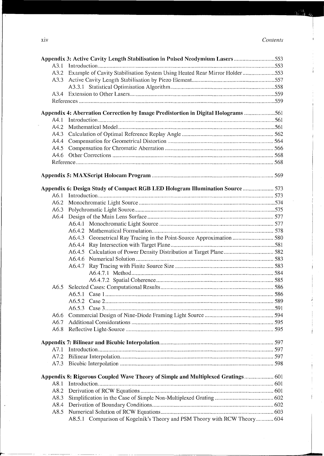|      | Appendix 3: Active Cavity Length Stabilisation in Pulsed Neodymium Lasers553      |  |
|------|-----------------------------------------------------------------------------------|--|
| A3.I |                                                                                   |  |
| A3.2 | Example of Cavity Stabilisation System Using Heated Rear Mirror Holder553         |  |
| A3.3 |                                                                                   |  |
|      |                                                                                   |  |
|      |                                                                                   |  |
|      |                                                                                   |  |
|      | Appendix 4: Aberration Correction by Image Predistortion in Digital Holograms 561 |  |
|      |                                                                                   |  |
|      |                                                                                   |  |
| A4.3 |                                                                                   |  |
| A4.4 |                                                                                   |  |
|      |                                                                                   |  |
|      |                                                                                   |  |
|      |                                                                                   |  |
|      |                                                                                   |  |
|      |                                                                                   |  |
|      | Appendix 6: Design Study of Compact RGB LED Hologram Illumination Source 573      |  |
| A6.1 |                                                                                   |  |
| A6.2 |                                                                                   |  |
| A6.3 |                                                                                   |  |
| A6.4 |                                                                                   |  |
|      |                                                                                   |  |
|      |                                                                                   |  |
|      | A6.4.3 Geometrical Ray Tracing in the Point-Source Approximation  580             |  |
|      |                                                                                   |  |
|      |                                                                                   |  |
|      |                                                                                   |  |
|      |                                                                                   |  |
|      |                                                                                   |  |
|      |                                                                                   |  |
| A6.5 |                                                                                   |  |
|      |                                                                                   |  |
|      |                                                                                   |  |
|      |                                                                                   |  |
| A6.6 |                                                                                   |  |
| A6.7 |                                                                                   |  |
|      |                                                                                   |  |
|      |                                                                                   |  |
|      |                                                                                   |  |
| A7.1 |                                                                                   |  |
| A7.2 |                                                                                   |  |
|      |                                                                                   |  |
|      | Appendix 8: Rigorous Coupled Wave Theory of Simple and Multiplexed Gratings 601   |  |
| A8.1 |                                                                                   |  |
| A8.2 |                                                                                   |  |
| A8.3 |                                                                                   |  |
| A8.4 |                                                                                   |  |
| A8.5 |                                                                                   |  |
|      | A8.5.1 Comparison of Kogelnik's Theory and PSM Theory with RCW Theory 604         |  |
|      |                                                                                   |  |
|      |                                                                                   |  |
|      |                                                                                   |  |
|      |                                                                                   |  |
|      |                                                                                   |  |

l<br>L